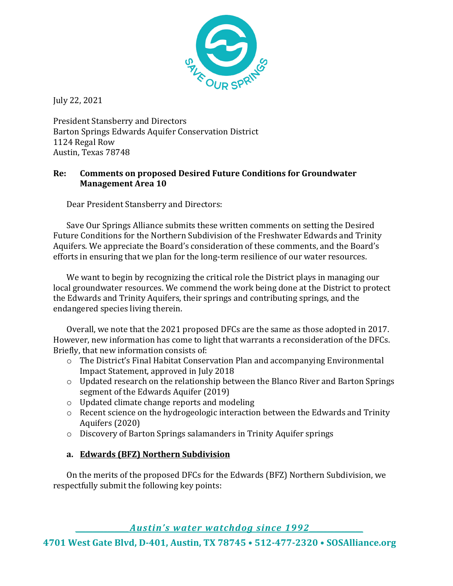

July 22, 2021

President Stansberry and Directors Barton Springs Edwards Aquifer Conservation District 1124 Regal Row Austin, Texas 78748

## **Re: Comments on proposed Desired Future Conditions for Groundwater Management Area 10**

Dear President Stansberry and Directors:

Save Our Springs Alliance submits these written comments on setting the Desired Future Conditions for the Northern Subdivision of the Freshwater Edwards and Trinity Aquifers. We appreciate the Board's consideration of these comments, and the Board's efforts in ensuring that we plan for the long-term resilience of our water resources.

We want to begin by recognizing the critical role the District plays in managing our local groundwater resources. We commend the work being done at the District to protect the Edwards and Trinity Aquifers, their springs and contributing springs, and the endangered species living therein.

Overall, we note that the 2021 proposed DFCs are the same as those adopted in 2017. However, new information has come to light that warrants a reconsideration of the DFCs. Briefly, that new information consists of:

- o The District's Final Habitat Conservation Plan and accompanying Environmental Impact Statement, approved in July 2018
- o Updated research on the relationship between the Blanco River and Barton Springs segment of the Edwards Aquifer (2019)
- o Updated climate change reports and modeling
- o Recent science on the hydrogeologic interaction between the Edwards and Trinity Aquifers (2020)
- o Discovery of Barton Springs salamanders in Trinity Aquifer springs

# **a. Edwards (BFZ) Northern Subdivision**

On the merits of the proposed DFCs for the Edwards (BFZ) Northern Subdivision, we respectfully submit the following key points:

*\_\_\_\_\_\_\_\_\_\_\_\_\_\_\_Austin's water watchdog since 1992\_\_\_\_\_\_\_\_\_\_\_\_\_\_\_*

**4701 West Gate Blvd, D-401, Austin, TX 78745 • 512-477-2320 • SOSAlliance.org**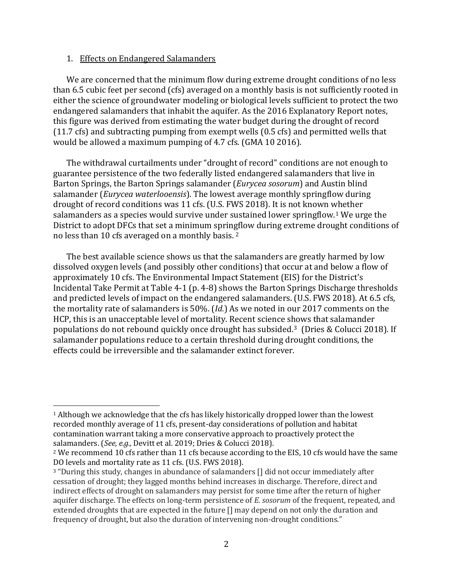#### 1. Effects on Endangered Salamanders

We are concerned that the minimum flow during extreme drought conditions of no less than 6.5 cubic feet per second (cfs) averaged on a monthly basis is not sufficiently rooted in either the science of groundwater modeling or biological levels sufficient to protect the two endangered salamanders that inhabit the aquifer. As the 2016 Explanatory Report notes, this figure was derived from estimating the water budget during the drought of record (11.7 cfs) and subtracting pumping from exempt wells (0.5 cfs) and permitted wells that would be allowed a maximum pumping of 4.7 cfs. (GMA 10 2016).

The withdrawal curtailments under "drought of record" conditions are not enough to guarantee persistence of the two federally listed endangered salamanders that live in Barton Springs, the Barton Springs salamander (*Eurycea sosorum*) and Austin blind salamander (*Eurycea waterlooensis*). The lowest average monthly springflow during drought of record conditions was 11 cfs. (U.S. FWS 2018). It is not known whether salamanders as a species would survive under sustained lower springflow.[1](#page-1-0) We urge the District to adopt DFCs that set a minimum springflow during extreme drought conditions of no less than 10 cfs averaged on a monthly basis. [2](#page-1-1)

The best available science shows us that the salamanders are greatly harmed by low dissolved oxygen levels (and possibly other conditions) that occur at and below a flow of approximately 10 cfs. The Environmental Impact Statement (EIS) for the District's Incidental Take Permit at Table 4-1 (p. 4-8) shows the Barton Springs Discharge thresholds and predicted levels of impact on the endangered salamanders. (U.S. FWS 2018). At 6.5 cfs, the mortality rate of salamanders is 50%. (*Id.*) As we noted in our 2017 comments on the HCP, this is an unacceptable level of mortality. Recent science shows that salamander populations do not rebound quickly once drought has subsided.[3](#page-1-2) (Dries & Colucci 2018). If salamander populations reduce to a certain threshold during drought conditions, the effects could be irreversible and the salamander extinct forever.

<span id="page-1-0"></span><sup>&</sup>lt;sup>1</sup> Although we acknowledge that the cfs has likely historically dropped lower than the lowest recorded monthly average of 11 cfs, present-day considerations of pollution and habitat contamination warrant taking a more conservative approach to proactively protect the salamanders. (*See, e.g.,* Devitt et al. 2019; Dries & Colucci 2018).

<span id="page-1-1"></span><sup>&</sup>lt;sup>2</sup> We recommend 10 cfs rather than 11 cfs because according to the EIS, 10 cfs would have the same DO levels and mortality rate as 11 cfs. (U.S. FWS 2018).

<span id="page-1-2"></span><sup>3</sup> "During this study, changes in abundance of salamanders [] did not occur immediately after cessation of drought; they lagged months behind increases in discharge. Therefore, direct and indirect effects of drought on salamanders may persist for some time after the return of higher aquifer discharge. The effects on long-term persistence of *E. sosorum* of the frequent, repeated, and extended droughts that are expected in the future [] may depend on not only the duration and frequency of drought, but also the duration of intervening non-drought conditions."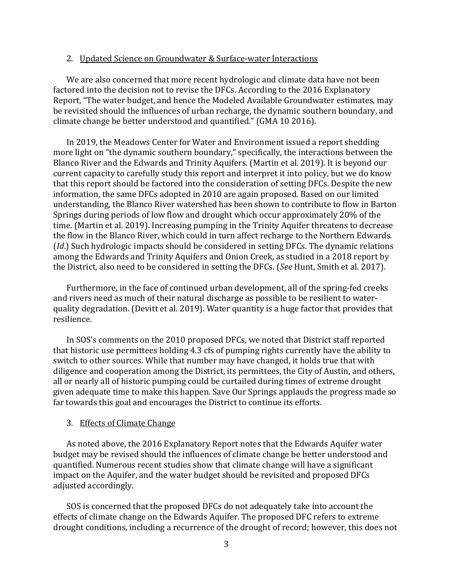#### 2. Updated Science on Groundwater & Surface-water Interactions

We are also concerned that more recent hydrologic and climate data have not been factored into the decision not to revise the DFCs. According to the 2016 Explanatory Report, "The water budget, and hence the Modeled Available Groundwater estimates, may be revisited should the influences of urban recharge, the dynamic southern boundary, and climate change be better understood and quantified." (GMA 10 2016).

In 2019, the Meadows Center for Water and Environment issued a report shedding more light on "the dynamic southern boundary," specifically, the interactions between the Blanco River and the Edwards and Trinity Aquifers. (Martin et al. 2019). It is beyond our current capacity to carefully study this report and interpret it into policy, but we do know that this report should be factored into the consideration of setting DFCs. Despite the new information, the same DFCs adopted in 2010 are again proposed. Based on our limited understanding, the Blanco River watershed has been shown to contribute to flow in Barton Springs during periods of low flow and drought which occur approximately 20% of the time. (Martin et al. 2019). Increasing pumping in the Trinity Aquifer threatens to decrease the flow in the Blanco River, which could in turn affect recharge to the Northern Edwards. (*Id*.) Such hydrologic impacts should be considered in setting DFCs. The dynamic relations among the Edwards and Trinity Aquifers and Onion Creek, as studied in a 2018 report by the District, also need to be considered in setting the DFCs. (*See* Hunt, Smith et al. 2017).

Furthermore, in the face of continued urban development, all of the spring-fed creeks and rivers need as much of their natural discharge as possible to be resilient to waterquality degradation. (Devitt et al. 2019). Water quantity is a huge factor that provides that resilience.

In SOS's comments on the 2010 proposed DFCs, we noted that District staff reported that historic use permittees holding 4.3 cfs of pumping rights currently have the ability to switch to other sources. While that number may have changed, it holds true that with diligence and cooperation among the District, its permittees, the City of Austin, and others, all or nearly all of historic pumping could be curtailed during times of extreme drought given adequate time to make this happen. Save Our Springs applauds the progress made so far towards this goal and encourages the District to continue its efforts.

#### 3. Effects of Climate Change

As noted above, the 2016 Explanatory Report notes that the Edwards Aquifer water budget may be revised should the influences of climate change be better understood and quantified. Numerous recent studies show that climate change will have a significant impact on the Aquifer, and the water budget should be revisited and proposed DFCs adjusted accordingly.

SOS is concerned that the proposed DFCs do not adequately take into account the effects of climate change on the Edwards Aquifer. The proposed DFC refers to extreme drought conditions, including a recurrence of the drought of record; however, this does not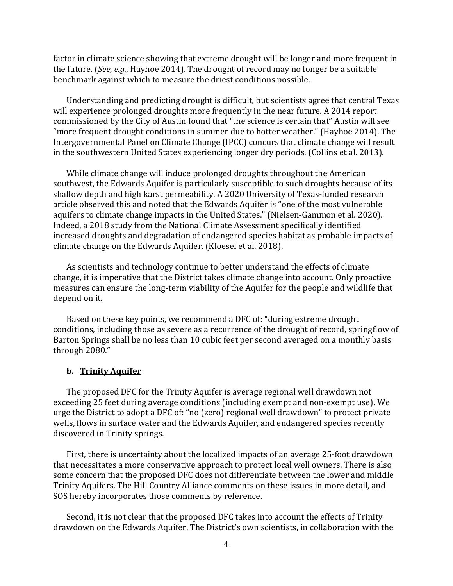factor in climate science showing that extreme drought will be longer and more frequent in the future. (*See, e.g.*, Hayhoe 2014). The drought of record may no longer be a suitable benchmark against which to measure the driest conditions possible.

Understanding and predicting drought is difficult, but scientists agree that central Texas will experience prolonged droughts more frequently in the near future. A 2014 report commissioned by the City of Austin found that "the science is certain that" Austin will see "more frequent drought conditions in summer due to hotter weather." (Hayhoe 2014). The Intergovernmental Panel on Climate Change (IPCC) concurs that climate change will result in the southwestern United States experiencing longer dry periods. (Collins et al. 2013).

While climate change will induce prolonged droughts throughout the American southwest, the Edwards Aquifer is particularly susceptible to such droughts because of its shallow depth and high karst permeability. A 2020 University of Texas-funded research article observed this and noted that the Edwards Aquifer is "one of the most vulnerable aquifers to climate change impacts in the United States." (Nielsen-Gammon et al. 2020). Indeed, a 2018 study from the National Climate Assessment specifically identified increased droughts and degradation of endangered species habitat as probable impacts of climate change on the Edwards Aquifer. (Kloesel et al. 2018).

As scientists and technology continue to better understand the effects of climate change, it is imperative that the District takes climate change into account. Only proactive measures can ensure the long-term viability of the Aquifer for the people and wildlife that depend on it.

Based on these key points, we recommend a DFC of: "during extreme drought conditions, including those as severe as a recurrence of the drought of record, springflow of Barton Springs shall be no less than 10 cubic feet per second averaged on a monthly basis through 2080."

#### **b. Trinity Aquifer**

The proposed DFC for the Trinity Aquifer is average regional well drawdown not exceeding 25 feet during average conditions (including exempt and non-exempt use). We urge the District to adopt a DFC of: "no (zero) regional well drawdown" to protect private wells, flows in surface water and the Edwards Aquifer, and endangered species recently discovered in Trinity springs.

First, there is uncertainty about the localized impacts of an average 25-foot drawdown that necessitates a more conservative approach to protect local well owners. There is also some concern that the proposed DFC does not differentiate between the lower and middle Trinity Aquifers. The Hill Country Alliance comments on these issues in more detail, and SOS hereby incorporates those comments by reference.

Second, it is not clear that the proposed DFC takes into account the effects of Trinity drawdown on the Edwards Aquifer. The District's own scientists, in collaboration with the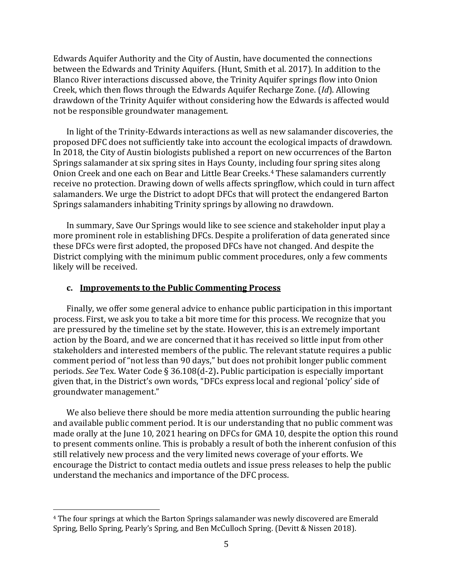Edwards Aquifer Authority and the City of Austin, have documented the connections between the Edwards and Trinity Aquifers. (Hunt, Smith et al. 2017). In addition to the Blanco River interactions discussed above, the Trinity Aquifer springs flow into Onion Creek, which then flows through the Edwards Aquifer Recharge Zone. (*Id*). Allowing drawdown of the Trinity Aquifer without considering how the Edwards is affected would not be responsible groundwater management.

In light of the Trinity-Edwards interactions as well as new salamander discoveries, the proposed DFC does not sufficiently take into account the ecological impacts of drawdown. In 2018, the City of Austin biologists published a report on new occurrences of the Barton Springs salamander at six spring sites in Hays County, including four spring sites along Onion Creek and one each on Bear and Little Bear Creeks.[4](#page-4-0) These salamanders currently receive no protection. Drawing down of wells affects springflow, which could in turn affect salamanders. We urge the District to adopt DFCs that will protect the endangered Barton Springs salamanders inhabiting Trinity springs by allowing no drawdown.

In summary, Save Our Springs would like to see science and stakeholder input play a more prominent role in establishing DFCs. Despite a proliferation of data generated since these DFCs were first adopted, the proposed DFCs have not changed. And despite the District complying with the minimum public comment procedures, only a few comments likely will be received.

#### **c. Improvements to the Public Commenting Process**

Finally, we offer some general advice to enhance public participation in this important process. First, we ask you to take a bit more time for this process. We recognize that you are pressured by the timeline set by the state. However, this is an extremely important action by the Board, and we are concerned that it has received so little input from other stakeholders and interested members of the public. The relevant statute requires a public comment period of "not less than 90 days," but does not prohibit longer public comment periods. *See* Tex. Water Code § 36.108(d-2)**.** Public participation is especially important given that, in the District's own words, "DFCs express local and regional 'policy' side of groundwater management."

We also believe there should be more media attention surrounding the public hearing and available public comment period. It is our understanding that no public comment was made orally at the June 10, 2021 hearing on DFCs for GMA 10, despite the option this round to present comments online. This is probably a result of both the inherent confusion of this still relatively new process and the very limited news coverage of your efforts. We encourage the District to contact media outlets and issue press releases to help the public understand the mechanics and importance of the DFC process.

<span id="page-4-0"></span><sup>4</sup> The four springs at which the Barton Springs salamander was newly discovered are Emerald Spring, Bello Spring, Pearly's Spring, and Ben McCulloch Spring. (Devitt & Nissen 2018).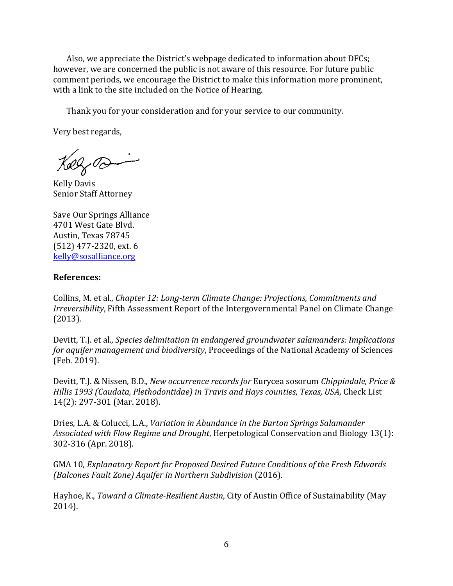Also, we appreciate the District's webpage dedicated to information about DFCs; however, we are concerned the public is not aware of this resource. For future public comment periods, we encourage the District to make this information more prominent, with a link to the site included on the Notice of Hearing.

Thank you for your consideration and for your service to our community.

Very best regards,

Kolzra

Kelly Davis Senior Staff Attorney

Save Our Springs Alliance 4701 West Gate Blvd. Austin, Texas 78745 (512) 477-2320, ext. 6 [kelly@sosalliance.org](mailto:kelly@sosalliance.org)

### **References:**

Collins, M. et al., *Chapter 12: Long-term Climate Change: Projections, Commitments and Irreversibility*, Fifth Assessment Report of the Intergovernmental Panel on Climate Change (2013).

Devitt, T.J. et al., *Species delimitation in endangered groundwater salamanders: Implications for aquifer management and biodiversity*, Proceedings of the National Academy of Sciences (Feb. 2019).

Devitt, T.J. & Nissen, B.D., *New occurrence records for* Eurycea sosorum *Chippindale, Price & Hillis 1993 (Caudata, Plethodontidae) in Travis and Hays counties*, *Texas, USA*, Check List 14(2): 297-301 (Mar. 2018).

Dries, L.A. & Colucci, L.A., *Variation in Abundance in the Barton Springs Salamander Associated with Flow Regime and Drought*, Herpetological Conservation and Biology 13(1): 302-316 (Apr. 2018).

GMA 10, *Explanatory Report for Proposed Desired Future Conditions of the Fresh Edwards (Balcones Fault Zone) Aquifer in Northern Subdivision* (2016).

Hayhoe, K., *Toward a Climate-Resilient Austin*, City of Austin Office of Sustainability (May 2014).